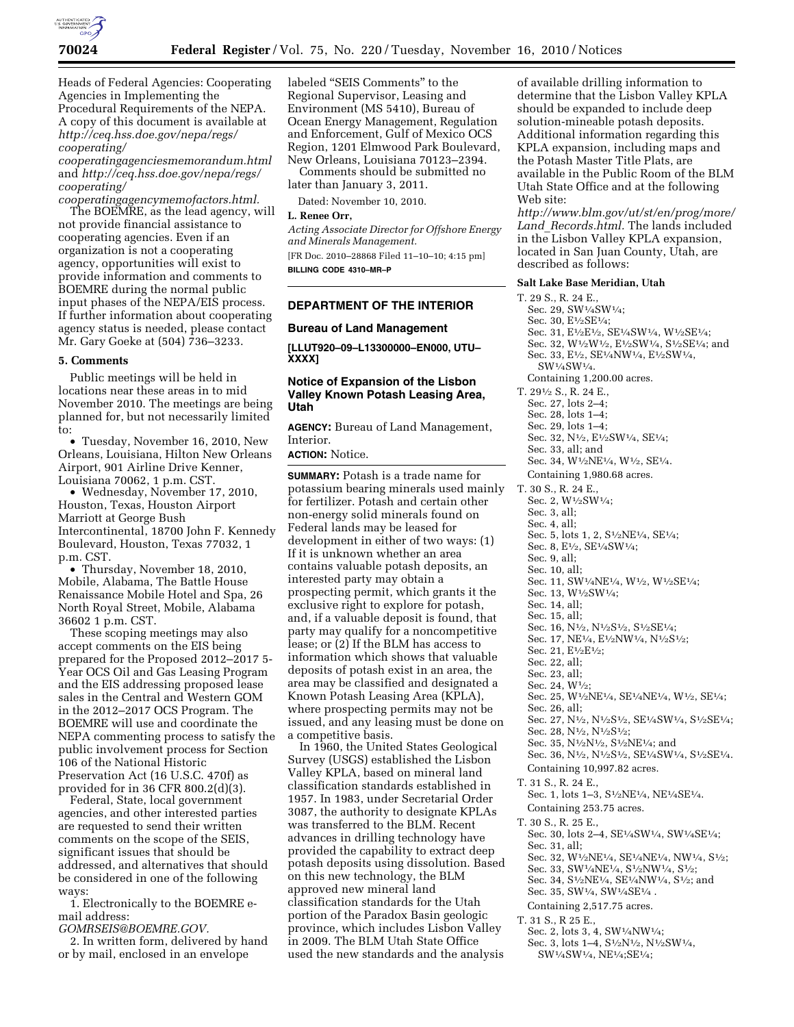

Heads of Federal Agencies: Cooperating Agencies in Implementing the Procedural Requirements of the NEPA. A copy of this document is available at *[http://ceq.hss.doe.gov/nepa/regs/](http://ceq.hss.doe.gov/nepa/regs/cooperating/cooperatingagenciesmemorandum.html) [cooperating/](http://ceq.hss.doe.gov/nepa/regs/cooperating/cooperatingagenciesmemorandum.html)* 

*[cooperatingagenciesmemorandum.html](http://ceq.hss.doe.gov/nepa/regs/cooperating/cooperatingagenciesmemorandum.html)*  and *[http://ceq.hss.doe.gov/nepa/regs/](http://ceq.hss.doe.gov/nepa/regs/cooperating/cooperatingagencymemofactors.html) [cooperating/](http://ceq.hss.doe.gov/nepa/regs/cooperating/cooperatingagencymemofactors.html)* 

*[cooperatingagencymemofactors.html.](http://ceq.hss.doe.gov/nepa/regs/cooperating/cooperatingagencymemofactors.html)*  The BOEMRE, as the lead agency, will not provide financial assistance to cooperating agencies. Even if an organization is not a cooperating agency, opportunities will exist to provide information and comments to BOEMRE during the normal public input phases of the NEPA/EIS process. If further information about cooperating agency status is needed, please contact Mr. Gary Goeke at (504) 736–3233.

### **5. Comments**

Public meetings will be held in locations near these areas in to mid November 2010. The meetings are being planned for, but not necessarily limited to:

• Tuesday, November 16, 2010, New Orleans, Louisiana, Hilton New Orleans Airport, 901 Airline Drive Kenner, Louisiana 70062, 1 p.m. CST.

• Wednesday, November 17, 2010, Houston, Texas, Houston Airport Marriott at George Bush Intercontinental, 18700 John F. Kennedy Boulevard, Houston, Texas 77032, 1 p.m. CST.

• Thursday, November 18, 2010, Mobile, Alabama, The Battle House Renaissance Mobile Hotel and Spa, 26 North Royal Street, Mobile, Alabama 36602 1 p.m. CST.

These scoping meetings may also accept comments on the EIS being prepared for the Proposed 2012–2017 5- Year OCS Oil and Gas Leasing Program and the EIS addressing proposed lease sales in the Central and Western GOM in the 2012–2017 OCS Program. The BOEMRE will use and coordinate the NEPA commenting process to satisfy the public involvement process for Section 106 of the National Historic Preservation Act (16 U.S.C. 470f) as provided for in 36 CFR 800.2(d)(3).

Federal, State, local government agencies, and other interested parties are requested to send their written comments on the scope of the SEIS, significant issues that should be addressed, and alternatives that should be considered in one of the following ways:

1. Electronically to the BOEMRE email address:

*[GOMRSEIS@BOEMRE.GOV.](mailto:GOMRSEIS@BOEMRE.GOV)* 

2. In written form, delivered by hand or by mail, enclosed in an envelope

labeled ''SEIS Comments'' to the Regional Supervisor, Leasing and Environment (MS 5410), Bureau of Ocean Energy Management, Regulation and Enforcement, Gulf of Mexico OCS Region, 1201 Elmwood Park Boulevard, New Orleans, Louisiana 70123–2394. Comments should be submitted no

later than January 3, 2011.

Dated: November 10, 2010.

### **L. Renee Orr,**

*Acting Associate Director for Offshore Energy and Minerals Management.* 

[FR Doc. 2010–28868 Filed 11–10–10; 4:15 pm] **BILLING CODE 4310–MR–P** 

## **DEPARTMENT OF THE INTERIOR**

### **Bureau of Land Management**

**[LLUT920–09–L13300000–EN000, UTU– XXXX]** 

# **Notice of Expansion of the Lisbon Valley Known Potash Leasing Area, Utah**

**AGENCY:** Bureau of Land Management, Interior.

**ACTION:** Notice.

**SUMMARY:** Potash is a trade name for potassium bearing minerals used mainly for fertilizer. Potash and certain other non-energy solid minerals found on Federal lands may be leased for development in either of two ways: (1) If it is unknown whether an area contains valuable potash deposits, an interested party may obtain a prospecting permit, which grants it the exclusive right to explore for potash, and, if a valuable deposit is found, that party may qualify for a noncompetitive lease; or (2) If the BLM has access to information which shows that valuable deposits of potash exist in an area, the area may be classified and designated a Known Potash Leasing Area (KPLA), where prospecting permits may not be issued, and any leasing must be done on a competitive basis.

In 1960, the United States Geological Survey (USGS) established the Lisbon Valley KPLA, based on mineral land classification standards established in 1957. In 1983, under Secretarial Order 3087, the authority to designate KPLAs was transferred to the BLM. Recent advances in drilling technology have provided the capability to extract deep potash deposits using dissolution. Based on this new technology, the BLM approved new mineral land classification standards for the Utah portion of the Paradox Basin geologic province, which includes Lisbon Valley in 2009. The BLM Utah State Office used the new standards and the analysis

of available drilling information to determine that the Lisbon Valley KPLA should be expanded to include deep solution-mineable potash deposits. Additional information regarding this KPLA expansion, including maps and the Potash Master Title Plats, are available in the Public Room of the BLM Utah State Office and at the following Web site:

*[http://www.blm.gov/ut/st/en/prog/more/](http://www.blm.gov/ut/st/en/prog/more/Land_Records.html) Land*\_*[Records.html.](http://www.blm.gov/ut/st/en/prog/more/Land_Records.html)* The lands included in the Lisbon Valley KPLA expansion, located in San Juan County, Utah, are described as follows:

#### **Salt Lake Base Meridian, Utah**

T. 29 S., R. 24 E., Sec. 29, SW1⁄4SW1⁄4; Sec. 30, E1⁄2SE1⁄4; Sec. 31, E<sup>1</sup>/2E<sup>1</sup>/2, SE<sup>1</sup>/4SW<sup>1</sup>/4, W<sup>1</sup>/2SE<sup>1</sup>/4; Sec. 32, W1⁄2W1⁄2, E1⁄2SW1⁄4, S1⁄2SE1⁄4; and Sec. 33, E1⁄2, SE1⁄4NW1⁄4, E1⁄2SW1⁄4, SW1⁄4SW1⁄4. Containing 1,200.00 acres. T. 291⁄2 S., R. 24 E., Sec. 27, lots 2–4; Sec. 28, lots 1–4; Sec. 29, lots 1–4; Sec. 32, N1⁄2, E1⁄2SW1⁄4, SE1⁄4; Sec. 33, all; and Sec. 34, W<sup>1</sup>/2NE<sup>1</sup>/4, W<sup>1</sup>/2, SE<sup>1</sup>/4. Containing 1,980.68 acres. T. 30 S., R. 24 E., Sec. 2, W1⁄2SW1⁄4; Sec. 3, all; Sec. 4, all; Sec. 5, lots 1, 2, S1⁄2NE1⁄4, SE1⁄4; Sec. 8, E1⁄2, SE1⁄4SW1⁄4; Sec. 9, all; Sec. 10, all; Sec. 11, SW1⁄4NE1⁄4, W1⁄2, W1⁄2SE1⁄4; Sec. 13, W1⁄2SW1⁄4; Sec. 14, all; Sec. 15, all; Sec. 16, N<sup>1</sup>/2, N<sup>1</sup>/2S<sup>1</sup>/2, S<sup>1</sup>/2SE<sup>1</sup>/4; Sec. 17, NE1⁄4, E1⁄2NW1⁄4, N1⁄2S1⁄2; Sec. 21, E<sup>1</sup>/2E<sup>1</sup>/2; Sec. 22, all; Sec. 23, all; Sec. 24, W1⁄2; Sec. 25, W1⁄2NE1⁄4, SE1⁄4NE1⁄4, W1⁄2, SE1⁄4; Sec. 26, all; Sec. 27, N1⁄2, N1⁄2S1⁄2, SE1⁄4SW1⁄4, S1⁄2SE1⁄4; Sec. 28, N<sup>1</sup>/2, N<sup>1</sup>/2S<sup>1</sup>/2; Sec. 35, N1⁄2N1⁄2, S1⁄2NE1⁄4; and Sec. 36, N1⁄2, N1⁄2S1⁄2, SE1⁄4SW1⁄4, S1⁄2SE1⁄4. Containing 10,997.82 acres. T. 31 S., R. 24 E., Sec. 1, lots 1–3, S1⁄2NE1⁄4, NE1⁄4SE1⁄4. Containing 253.75 acres. T. 30 S., R. 25 E., Sec. 30, lots 2–4, SE1⁄4SW1⁄4, SW1⁄4SE1⁄4; Sec. 31, all; Sec. 32, W1⁄2NE1⁄4, SE1⁄4NE1⁄4, NW1⁄4, S1⁄2; Sec. 33, SW1⁄4NE1⁄4, S1⁄2NW1⁄4, S1⁄2; Sec. 34, S1⁄2NE1⁄4, SE1⁄4NW1⁄4, S1⁄2; and Sec. 35, SW1/4, SW1/4SE1/4. Containing 2,517.75 acres.

T. 31 S., R 25 E.,

- Sec. 2, lots 3, 4, SW1⁄4NW1⁄4; Sec. 3, lots 1–4, S1⁄2N1⁄2, N1⁄2SW1⁄4,
	-

- 
- 
- 
- 
- - SW1⁄4SW1⁄4, NE1⁄4;SE1⁄4;